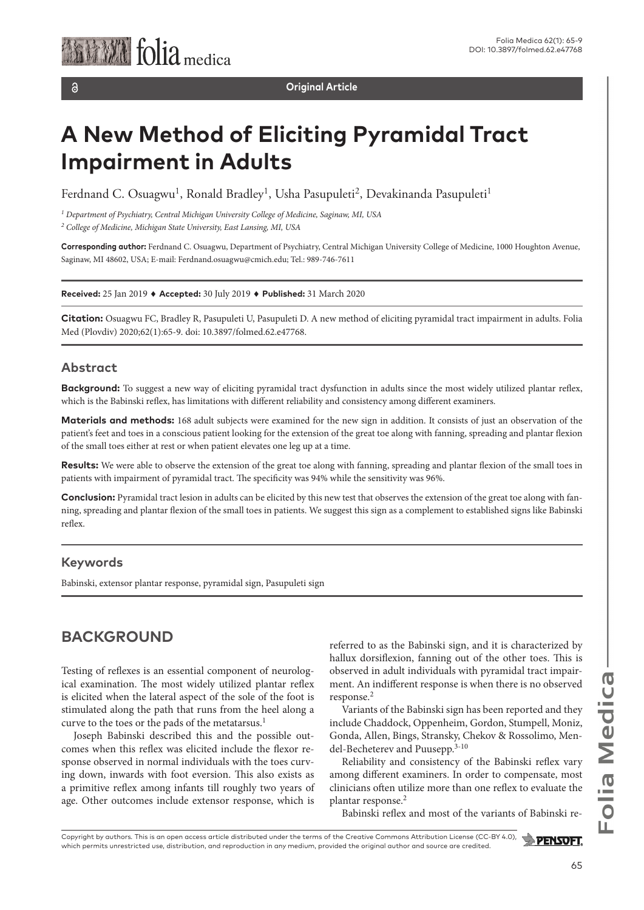$\delta$ 

**Original Article**

# **A New Method of Eliciting Pyramidal Tract Impairment in Adults**

Ferdnand C. Osuagwu<sup>1</sup>, Ronald Bradley<sup>1</sup>, Usha Pasupuleti<sup>2</sup>, Devakinanda Pasupuleti<sup>1</sup>

*1 Department of Psychiatry, Central Michigan University College of Medicine, Saginaw, MI, USA 2 College of Medicine, Michigan State University, East Lansing, MI, USA*

**Corresponding author:** Ferdnand C. Osuagwu, Department of Psychiatry, Central Michigan University College of Medicine, 1000 Houghton Avenue, Saginaw, MI 48602, USA; E-mail: Ferdnand.osuagwu@cmich.edu; Tel.: 989-746-7611

**Received:** 25 Jan 2019 ♦ **Accepted:** 30 July 2019 ♦ **Published:** 31 March 2020

**Citation:** Osuagwu FC, Bradley R, Pasupuleti U, Pasupuleti D. A new method of eliciting pyramidal tract impairment in adults. Folia Med (Plovdiv) 2020;62(1):65-9. doi: 10.3897/folmed.62.e47768.

### **Abstract**

**Background:** To suggest a new way of eliciting pyramidal tract dysfunction in adults since the most widely utilized plantar reflex, which is the Babinski reflex, has limitations with different reliability and consistency among different examiners.

**Materials and methods:** 168 adult subjects were examined for the new sign in addition. It consists of just an observation of the patient's feet and toes in a conscious patient looking for the extension of the great toe along with fanning, spreading and plantar flexion of the small toes either at rest or when patient elevates one leg up at a time.

**Results:** We were able to observe the extension of the great toe along with fanning, spreading and plantar flexion of the small toes in patients with impairment of pyramidal tract. The specificity was 94% while the sensitivity was 96%.

**Conclusion:** Pyramidal tract lesion in adults can be elicited by this new test that observes the extension of the great toe along with fanning, spreading and plantar flexion of the small toes in patients. We suggest this sign as a complement to established signs like Babinski reflex.

### **Keywords**

Babinski, extensor plantar response, pyramidal sign, Pasupuleti sign

## **BACKGROUND**

Testing of reflexes is an essential component of neurological examination. The most widely utilized plantar reflex is elicited when the lateral aspect of the sole of the foot is stimulated along the path that runs from the heel along a curve to the toes or the pads of the metatarsus.<sup>1</sup>

Joseph Babinski described this and the possible outcomes when this reflex was elicited include the flexor response observed in normal individuals with the toes curving down, inwards with foot eversion. This also exists as a primitive reflex among infants till roughly two years of age. Other outcomes include extensor response, which is referred to as the Babinski sign, and it is characterized by hallux dorsiflexion, fanning out of the other toes. This is observed in adult individuals with pyramidal tract impairment. An indifferent response is when there is no observed response.<sup>2</sup>

Variants of the Babinski sign has been reported and they include Chaddock, Oppenheim, Gordon, Stumpell, Moniz, Gonda, Allen, Bings, Stransky, Chekov & Rossolimo, Mendel-Becheterev and Puusepp.3-10

Reliability and consistency of the Babinski reflex vary among different examiners. In order to compensate, most clinicians often utilize more than one reflex to evaluate the plantar response.2

Babinski reflex and most of the variants of Babinski re-

Copyright by authors*.* This is an open access article distributed under the terms of the Creative Commons Attribution License (CC-BY 4.0),  $\rightarrow$  PENSOFT. which permits unrestricted use, distribution, and reproduction in any medium, provided the original author and source are credited.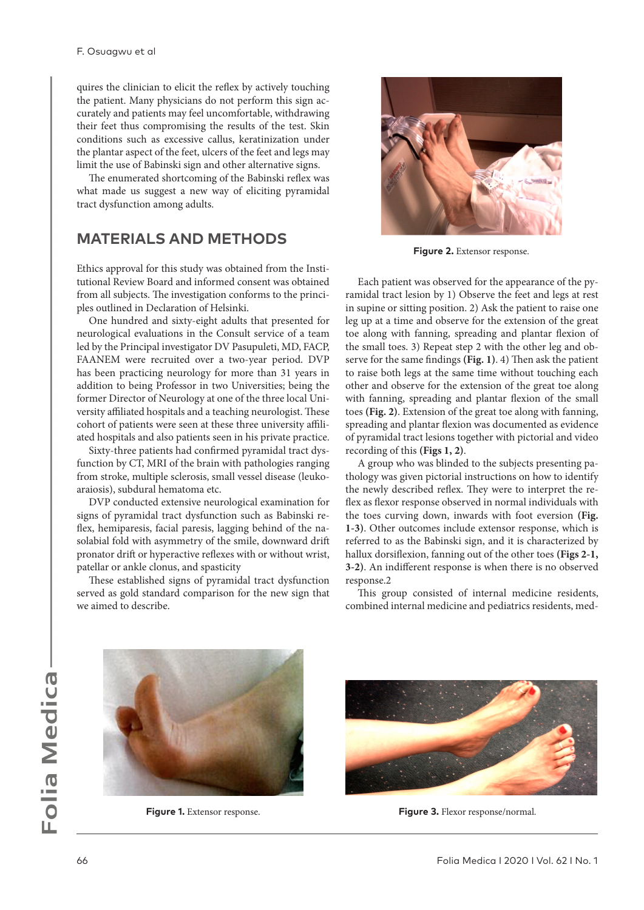quires the clinician to elicit the reflex by actively touching the patient. Many physicians do not perform this sign accurately and patients may feel uncomfortable, withdrawing their feet thus compromising the results of the test. Skin conditions such as excessive callus, keratinization under the plantar aspect of the feet, ulcers of the feet and legs may limit the use of Babinski sign and other alternative signs.

The enumerated shortcoming of the Babinski reflex was what made us suggest a new way of eliciting pyramidal tract dysfunction among adults.

## **MATERIALS AND METHODS**

Ethics approval for this study was obtained from the Institutional Review Board and informed consent was obtained from all subjects. The investigation conforms to the principles outlined in Declaration of Helsinki.

One hundred and sixty-eight adults that presented for neurological evaluations in the Consult service of a team led by the Principal investigator DV Pasupuleti, MD, FACP, FAANEM were recruited over a two-year period. DVP has been practicing neurology for more than 31 years in addition to being Professor in two Universities; being the former Director of Neurology at one of the three local University affiliated hospitals and a teaching neurologist. These cohort of patients were seen at these three university affiliated hospitals and also patients seen in his private practice.

Sixty-three patients had confirmed pyramidal tract dysfunction by CT, MRI of the brain with pathologies ranging from stroke, multiple sclerosis, small vessel disease (leukoaraiosis), subdural hematoma etc.

DVP conducted extensive neurological examination for signs of pyramidal tract dysfunction such as Babinski reflex, hemiparesis, facial paresis, lagging behind of the nasolabial fold with asymmetry of the smile, downward drift pronator drift or hyperactive reflexes with or without wrist, patellar or ankle clonus, and spasticity

These established signs of pyramidal tract dysfunction served as gold standard comparison for the new sign that we aimed to describe.



**Figure 2.** Extensor response.

Each patient was observed for the appearance of the pyramidal tract lesion by 1) Observe the feet and legs at rest in supine or sitting position. 2) Ask the patient to raise one leg up at a time and observe for the extension of the great toe along with fanning, spreading and plantar flexion of the small toes. 3) Repeat step 2 with the other leg and observe for the same findings **(Fig. 1)**. 4) Then ask the patient to raise both legs at the same time without touching each other and observe for the extension of the great toe along with fanning, spreading and plantar flexion of the small toes **(Fig. 2)**. Extension of the great toe along with fanning, spreading and plantar flexion was documented as evidence of pyramidal tract lesions together with pictorial and video recording of this **(Figs 1, 2)**.

A group who was blinded to the subjects presenting pathology was given pictorial instructions on how to identify the newly described reflex. They were to interpret the reflex as flexor response observed in normal individuals with the toes curving down, inwards with foot eversion **(Fig. 1-3)**. Other outcomes include extensor response, which is referred to as the Babinski sign, and it is characterized by hallux dorsiflexion, fanning out of the other toes **(Figs 2-1, 3-2)**. An indifferent response is when there is no observed response.2

This group consisted of internal medicine residents, combined internal medicine and pediatrics residents, med-





**Figure 1.** Extensor response. **Figure 3.** Flexor response/normal.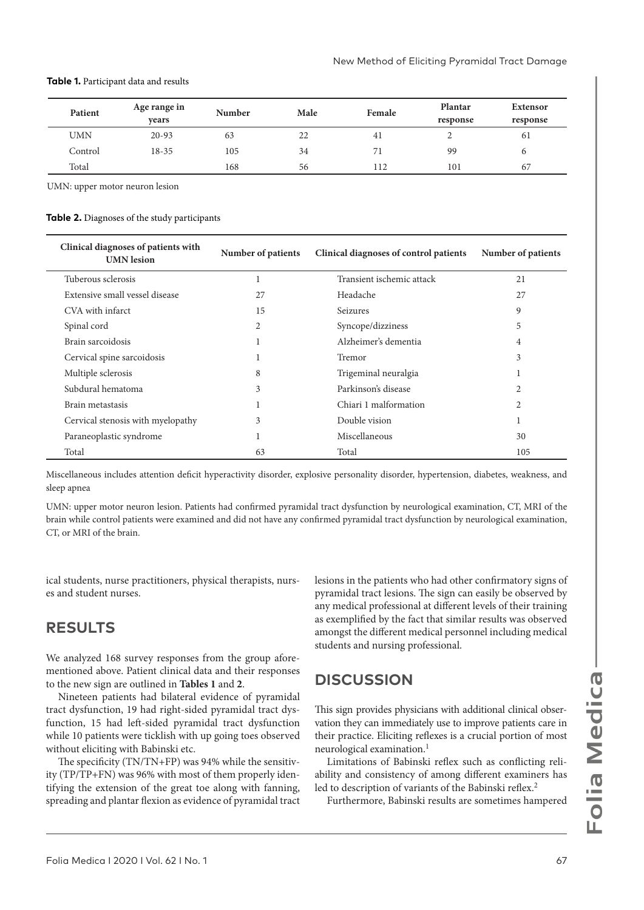| Patient    | Age range in | Number | Male | Female | Plantar  | <b>Extensor</b> |  |
|------------|--------------|--------|------|--------|----------|-----------------|--|
|            | vears        |        |      |        | response | response        |  |
| <b>UMN</b> | $20 - 93$    | 63     | 22   | 41     |          | 61              |  |
| Control    | $18 - 35$    | 105    | 34   | 71     | 99       |                 |  |
| Total      |              | 168    | 56   | 112    | 101      | 67              |  |

#### **Table 1.** Participant data and results

UMN: upper motor neuron lesion

#### **Table 2.** Diagnoses of the study participants

| Clinical diagnoses of patients with<br><b>UMN</b> lesion | Number of patients | Clinical diagnoses of control patients | Number of patients |
|----------------------------------------------------------|--------------------|----------------------------------------|--------------------|
| Tuberous sclerosis                                       | 1                  | Transient ischemic attack              | 21                 |
| Extensive small vessel disease                           | 27                 | Headache                               | 27                 |
| CVA with infarct                                         | 15                 | <b>Seizures</b>                        | 9                  |
| Spinal cord                                              | 2                  | Syncope/dizziness                      | 5                  |
| Brain sarcoidosis                                        |                    | Alzheimer's dementia                   | 4                  |
| Cervical spine sarcoidosis                               |                    | Tremor                                 | 3                  |
| Multiple sclerosis                                       | 8                  | Trigeminal neuralgia                   |                    |
| Subdural hematoma                                        | 3                  | Parkinson's disease                    | 2                  |
| Brain metastasis                                         |                    | Chiari 1 malformation                  | 2                  |
| Cervical stenosis with myelopathy                        | 3                  | Double vision                          |                    |
| Paraneoplastic syndrome                                  |                    | Miscellaneous                          | 30                 |
| Total                                                    | 63                 | Total                                  | 105                |

Miscellaneous includes attention deficit hyperactivity disorder, explosive personality disorder, hypertension, diabetes, weakness, and sleep apnea

UMN: upper motor neuron lesion. Patients had confirmed pyramidal tract dysfunction by neurological examination, CT, MRI of the brain while control patients were examined and did not have any confirmed pyramidal tract dysfunction by neurological examination, CT, or MRI of the brain.

ical students, nurse practitioners, physical therapists, nurses and student nurses.

## **RESULTS**

We analyzed 168 survey responses from the group aforementioned above. Patient clinical data and their responses to the new sign are outlined in **Tables 1** and **2**.

Nineteen patients had bilateral evidence of pyramidal tract dysfunction, 19 had right-sided pyramidal tract dysfunction, 15 had left-sided pyramidal tract dysfunction while 10 patients were ticklish with up going toes observed without eliciting with Babinski etc.

The specificity (TN/TN+FP) was 94% while the sensitivity (TP/TP+FN) was 96% with most of them properly identifying the extension of the great toe along with fanning, spreading and plantar flexion as evidence of pyramidal tract

lesions in the patients who had other confirmatory signs of pyramidal tract lesions. The sign can easily be observed by any medical professional at different levels of their training as exemplified by the fact that similar results was observed amongst the different medical personnel including medical students and nursing professional.

## **DISCUSSION**

This sign provides physicians with additional clinical observation they can immediately use to improve patients care in their practice. Eliciting reflexes is a crucial portion of most neurological examination.1

Limitations of Babinski reflex such as conflicting reliability and consistency of among different examiners has led to description of variants of the Babinski reflex.<sup>2</sup>

Furthermore, Babinski results are sometimes hampered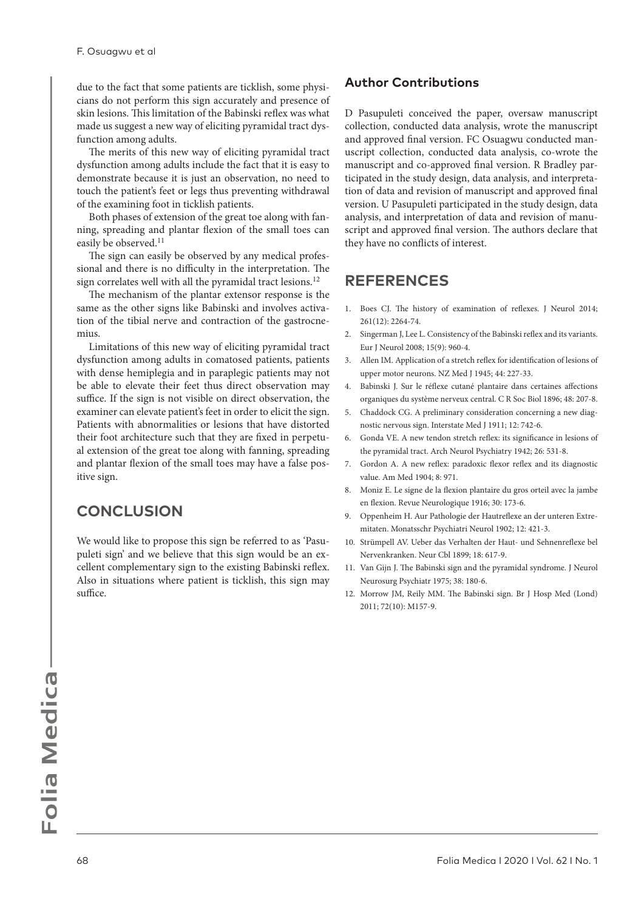due to the fact that some patients are ticklish, some physicians do not perform this sign accurately and presence of skin lesions. This limitation of the Babinski reflex was what made us suggest a new way of eliciting pyramidal tract dysfunction among adults.

The merits of this new way of eliciting pyramidal tract dysfunction among adults include the fact that it is easy to demonstrate because it is just an observation, no need to touch the patient's feet or legs thus preventing withdrawal of the examining foot in ticklish patients.

Both phases of extension of the great toe along with fanning, spreading and plantar flexion of the small toes can easily be observed.<sup>11</sup>

The sign can easily be observed by any medical professional and there is no difficulty in the interpretation. The sign correlates well with all the pyramidal tract lesions.<sup>12</sup>

The mechanism of the plantar extensor response is the same as the other signs like Babinski and involves activation of the tibial nerve and contraction of the gastrocnemius.

Limitations of this new way of eliciting pyramidal tract dysfunction among adults in comatosed patients, patients with dense hemiplegia and in paraplegic patients may not be able to elevate their feet thus direct observation may suffice. If the sign is not visible on direct observation, the examiner can elevate patient's feet in order to elicit the sign. Patients with abnormalities or lesions that have distorted their foot architecture such that they are fixed in perpetual extension of the great toe along with fanning, spreading and plantar flexion of the small toes may have a false positive sign.

## **CONCLUSION**

We would like to propose this sign be referred to as 'Pasupuleti sign' and we believe that this sign would be an excellent complementary sign to the existing Babinski reflex. Also in situations where patient is ticklish, this sign may suffice.

## **Author Contributions**

D Pasupuleti conceived the paper, oversaw manuscript collection, conducted data analysis, wrote the manuscript and approved final version. FC Osuagwu conducted manuscript collection, conducted data analysis, co-wrote the manuscript and co-approved final version. R Bradley participated in the study design, data analysis, and interpretation of data and revision of manuscript and approved final version. U Pasupuleti participated in the study design, data analysis, and interpretation of data and revision of manuscript and approved final version. The authors declare that they have no conflicts of interest.

## **REFERENCES**

- 1. Boes CJ. The history of examination of reflexes. J Neurol 2014; 261(12): 2264-74.
- 2. Singerman J, Lee L. Consistency of the Babinski reflex and its variants. Eur J Neurol 2008; 15(9): 960-4.
- 3. Allen IM. Application of a stretch reflex for identification of lesions of upper motor neurons. NZ Med J 1945; 44: 227-33.
- 4. Babinski J. Sur le réflexe cutané plantaire dans certaines affections organiques du système nerveux central. C R Soc Biol 1896; 48: 207-8.
- 5. Chaddock CG. A preliminary consideration concerning a new diagnostic nervous sign. Interstate Med J 1911; 12: 742-6.
- 6. Gonda VE. A new tendon stretch reflex: its significance in lesions of the pyramidal tract. Arch Neurol Psychiatry 1942; 26: 531-8.
- 7. Gordon A. A new reflex: paradoxic flexor reflex and its diagnostic value. Am Med 1904; 8: 971.
- 8. Moniz E. Le signe de la flexion plantaire du gros orteil avec la jambe en flexion. Revue Neurologique 1916; 30: 173-6.
- 9. Oppenheim H. Aur Pathologie der Hautreflexe an der unteren Extremitaten. Monatsschr Psychiatri Neurol 1902; 12: 421-3.
- 10. Strümpell AV. Ueber das Verhalten der Haut- und Sehnenreflexe bel Nervenkranken. Neur Cbl 1899; 18: 617-9.
- 11. Van Gijn J. The Babinski sign and the pyramidal syndrome. J Neurol Neurosurg Psychiatr 1975; 38: 180-6.
- 12. Morrow JM, Reily MM. The Babinski sign. Br J Hosp Med (Lond) 2011; 72(10): M157-9.